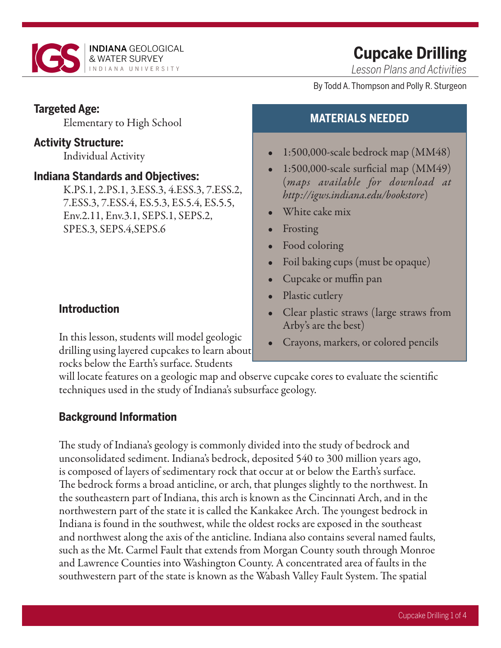

# **Cupcake Drilling**

*Lesson Plans and Activities*

By Todd A. Thompson and Polly R. Sturgeon

### **Targeted Age:**

Elementary to High School

### **Activity Structure:**

Individual Activity

### **Indiana Standards and Objectives:**

K.PS.1, 2.PS.1, 3.ESS.3, 4.ESS.3, 7.ESS.2, 7.ESS.3, 7.ESS.4, ES.5.3, ES.5.4, ES.5.5, Env.2.11, Env.3.1, SEPS.1, SEPS.2, SPES.3, SEPS.4,SEPS.6

## **Introduction**

In this lesson, students will model geologic drilling using layered cupcakes to learn about rocks below the Earth's surface. Students

## **MATERIALS NEEDED**

- 1:500,000-scale bedrock map (MM48)
- 1:500,000-scale surficial map (MM49) (*maps available for download at http://igws.indiana.edu/bookstore*)
- White cake mix
- Frosting
- Food coloring
- Foil baking cups (must be opaque)
- Cupcake or muffin pan
- Plastic cutlery
- Clear plastic straws (large straws from Arby's are the best)
- Crayons, markers, or colored pencils

will locate features on a geologic map and observe cupcake cores to evaluate the scientific techniques used in the study of Indiana's subsurface geology.

## **Background Information**

The study of Indiana's geology is commonly divided into the study of bedrock and unconsolidated sediment. Indiana's bedrock, deposited 540 to 300 million years ago, is composed of layers of sedimentary rock that occur at or below the Earth's surface. The bedrock forms a broad anticline, or arch, that plunges slightly to the northwest. In the southeastern part of Indiana, this arch is known as the Cincinnati Arch, and in the northwestern part of the state it is called the Kankakee Arch. The youngest bedrock in Indiana is found in the southwest, while the oldest rocks are exposed in the southeast and northwest along the axis of the anticline. Indiana also contains several named faults, such as the Mt. Carmel Fault that extends from Morgan County south through Monroe and Lawrence Counties into Washington County. A concentrated area of faults in the southwestern part of the state is known as the Wabash Valley Fault System. The spatial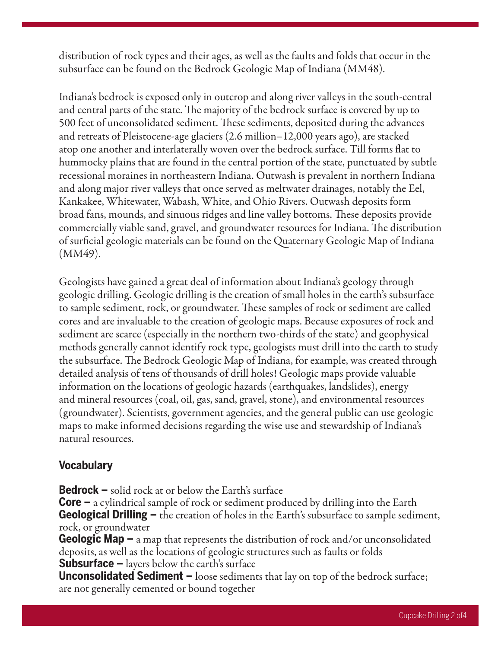distribution of rock types and their ages, as well as the faults and folds that occur in the subsurface can be found on the Bedrock Geologic Map of Indiana (MM48).

Indiana's bedrock is exposed only in outcrop and along river valleys in the south-central and central parts of the state. The majority of the bedrock surface is covered by up to 500 feet of unconsolidated sediment. These sediments, deposited during the advances and retreats of Pleistocene-age glaciers (2.6 million–12,000 years ago), are stacked atop one another and interlaterally woven over the bedrock surface. Till forms flat to hummocky plains that are found in the central portion of the state, punctuated by subtle recessional moraines in northeastern Indiana. Outwash is prevalent in northern Indiana and along major river valleys that once served as meltwater drainages, notably the Eel, Kankakee, Whitewater, Wabash, White, and Ohio Rivers. Outwash deposits form broad fans, mounds, and sinuous ridges and line valley bottoms. These deposits provide commercially viable sand, gravel, and groundwater resources for Indiana. The distribution of surficial geologic materials can be found on the Quaternary Geologic Map of Indiana (MM49).

Geologists have gained a great deal of information about Indiana's geology through geologic drilling. Geologic drilling is the creation of small holes in the earth's subsurface to sample sediment, rock, or groundwater. These samples of rock or sediment are called cores and are invaluable to the creation of geologic maps. Because exposures of rock and sediment are scarce (especially in the northern two-thirds of the state) and geophysical methods generally cannot identify rock type, geologists must drill into the earth to study the subsurface. The Bedrock Geologic Map of Indiana, for example, was created through detailed analysis of tens of thousands of drill holes! Geologic maps provide valuable information on the locations of geologic hazards (earthquakes, landslides), energy and mineral resources (coal, oil, gas, sand, gravel, stone), and environmental resources (groundwater). Scientists, government agencies, and the general public can use geologic maps to make informed decisions regarding the wise use and stewardship of Indiana's natural resources.

### **Vocabulary**

**Bedrock –** solid rock at or below the Earth's surface

**Core –** a cylindrical sample of rock or sediment produced by drilling into the Earth **Geological Drilling –** the creation of holes in the Earth's subsurface to sample sediment, rock, or groundwater

**Geologic Map –** a map that represents the distribution of rock and/or unconsolidated deposits, as well as the locations of geologic structures such as faults or folds **Subsurface –** layers below the earth's surface

**Unconsolidated Sediment –** loose sediments that lay on top of the bedrock surface; are not generally cemented or bound together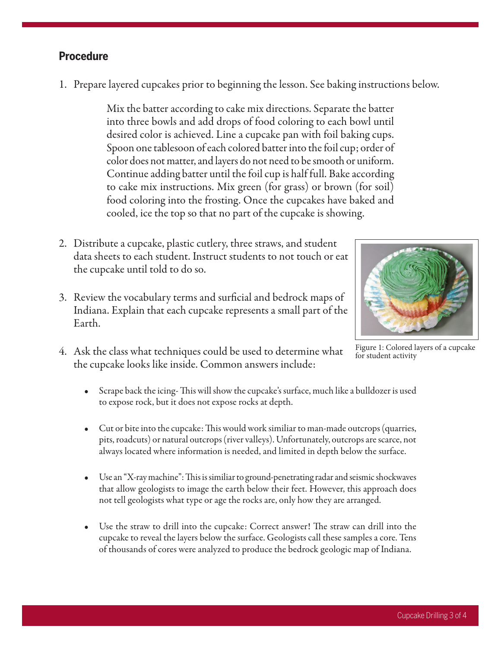1. Prepare layered cupcakes prior to beginning the lesson. See baking instructions below.

Mix the batter according to cake mix directions. Separate the batter into three bowls and add drops of food coloring to each bowl until desired color is achieved. Line a cupcake pan with foil baking cups. Spoon one tablesoon of each colored batter into the foil cup; order of color does not matter, and layers do not need to be smooth or uniform. Continue adding batter until the foil cup is half full. Bake according to cake mix instructions. Mix green (for grass) or brown (for soil) food coloring into the frosting. Once the cupcakes have baked and cooled, ice the top so that no part of the cupcake is showing.

- 2. Distribute a cupcake, plastic cutlery, three straws, and student data sheets to each student. Instruct students to not touch or eat the cupcake until told to do so.
- 3. Review the vocabulary terms and surficial and bedrock maps of Indiana. Explain that each cupcake represents a small part of the Earth.
- 4. Ask the class what techniques could be used to determine what the cupcake looks like inside. Common answers include:



Figure 1: Colored layers of a cupcake for student activity

- Scrape back the icing- This will show the cupcake's surface, much like a bulldozer is used to expose rock, but it does not expose rocks at depth.
- Cut or bite into the cupcake: This would work similiar to man-made outcrops (quarries, pits, roadcuts) or natural outcrops (river valleys). Unfortunately, outcrops are scarce, not always located where information is needed, and limited in depth below the surface.
- Use an "X-ray machine": This is similiar to ground-penetrating radar and seismic shockwaves that allow geologists to image the earth below their feet. However, this approach does not tell geologists what type or age the rocks are, only how they are arranged.
- Use the straw to drill into the cupcake: Correct answer! The straw can drill into the cupcake to reveal the layers below the surface. Geologists call these samples a core. Tens of thousands of cores were analyzed to produce the bedrock geologic map of Indiana.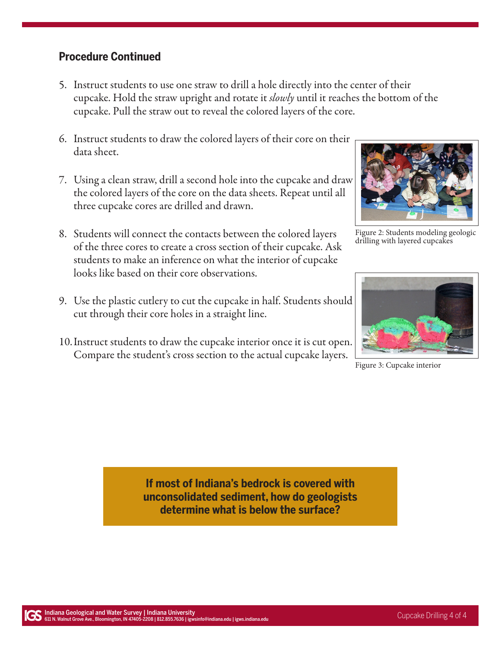### **Procedure Continued**

- 5. Instruct students to use one straw to drill a hole directly into the center of their cupcake. Hold the straw upright and rotate it *slowly* until it reaches the bottom of the cupcake. Pull the straw out to reveal the colored layers of the core.
- 6. Instruct students to draw the colored layers of their core on their data sheet.
- 7. Using a clean straw, drill a second hole into the cupcake and draw the colored layers of the core on the data sheets. Repeat until all three cupcake cores are drilled and drawn.
- 8. Students will connect the contacts between the colored layers of the three cores to create a cross section of their cupcake. Ask students to make an inference on what the interior of cupcake looks like based on their core observations.
- 9. Use the plastic cutlery to cut the cupcake in half. Students should cut through their core holes in a straight line.
- 10.Instruct students to draw the cupcake interior once it is cut open. Compare the student's cross section to the actual cupcake layers.



Figure 2: Students modeling geologic drilling with layered cupcakes



Figure 3: Cupcake interior

**If most of Indiana's bedrock is covered with unconsolidated sediment, how do geologists determine what is below the surface?**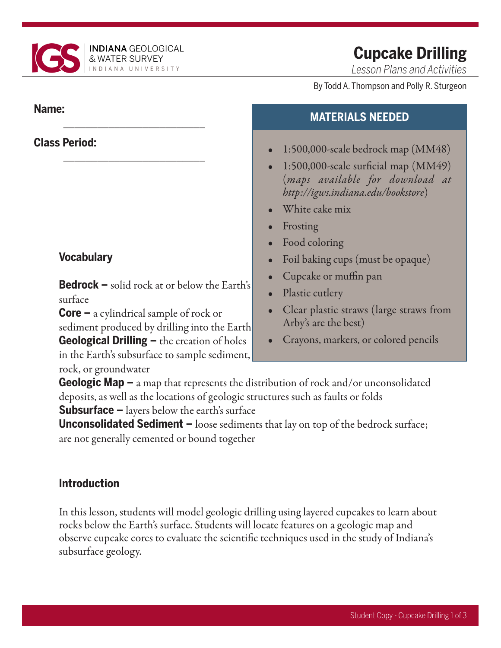

\_\_\_\_\_\_\_\_\_\_\_\_\_\_\_\_\_\_\_\_\_\_\_\_\_

\_\_\_\_\_\_\_\_\_\_\_\_\_\_\_\_\_\_\_\_\_\_\_\_\_

## **Cupcake Drilling**

*Lesson Plans and Activities*

#### By Todd A. Thompson and Polly R. Sturgeon

### **Name:**

## **Class Period:**

## **Vocabulary**

**Bedrock –** solid rock at or below the Earth's surface

**Core –** a cylindrical sample of rock or sediment produced by drilling into the Earth **Geological Drilling –** the creation of holes

in the Earth's subsurface to sample sediment, rock, or groundwater

## **MATERIALS NEEDED**

- 1:500,000-scale bedrock map (MM48)
- 1:500,000-scale surficial map  $(MM49)$ (*maps available for download at http://igws.indiana.edu/bookstore*)
- White cake mix
- **Frosting**
- Food coloring
- Foil baking cups (must be opaque)
- Cupcake or muffin pan
- Plastic cutlery
- Clear plastic straws (large straws from Arby's are the best)
- Crayons, markers, or colored pencils

**Geologic Map –** a map that represents the distribution of rock and/or unconsolidated deposits, as well as the locations of geologic structures such as faults or folds

**Subsurface –** layers below the earth's surface

**Unconsolidated Sediment –** loose sediments that lay on top of the bedrock surface; are not generally cemented or bound together

## **Introduction**

In this lesson, students will model geologic drilling using layered cupcakes to learn about rocks below the Earth's surface. Students will locate features on a geologic map and observe cupcake cores to evaluate the scientific techniques used in the study of Indiana's subsurface geology.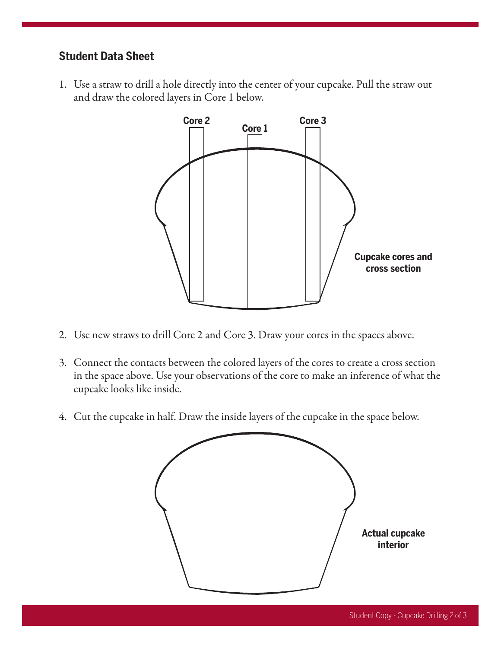### **Student Data Sheet**

1. Use a straw to drill a hole directly into the center of your cupcake. Pull the straw out and draw the colored layers in Core 1 below.



- 2. Use new straws to drill Core 2 and Core 3. Draw your cores in the spaces above.
- 3. Connect the contacts between the colored layers of the cores to create a cross section in the space above. Use your observations of the core to make an inference of what the cupcake looks like inside.
- 4. Cut the cupcake in half. Draw the inside layers of the cupcake in the space below.